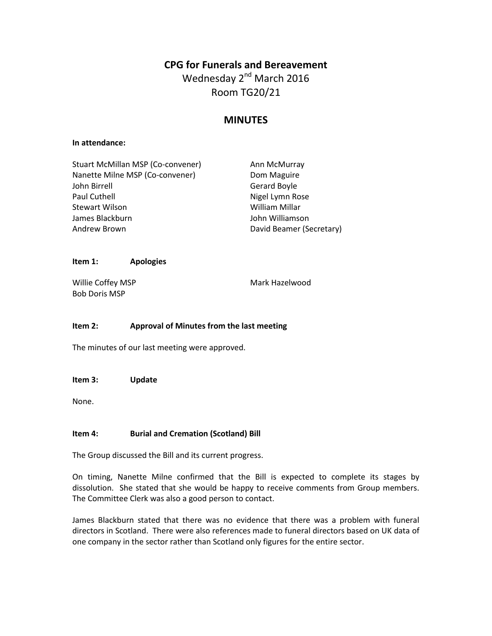# **CPG for Funerals and Bereavement**

Wednesday 2<sup>nd</sup> March 2016 Room TG20/21

# **MINUTES**

#### **In attendance:**

| Stuart McMillan MSP (Co-convener) | Ann McMurray             |
|-----------------------------------|--------------------------|
| Nanette Milne MSP (Co-convener)   | Dom Maguire              |
| John Birrell                      | Gerard Boyle             |
| Paul Cuthell                      | Nigel Lymn Rose          |
| Stewart Wilson                    | William Millar           |
| James Blackburn                   | John Williamson          |
| Andrew Brown                      | David Beamer (Secretary) |
|                                   |                          |

#### **Item 1: Apologies**

Willie Coffey MSP Bob Doris MSP

Mark Hazelwood

### **Item 2: Approval of Minutes from the last meeting**

The minutes of our last meeting were approved.

**Item 3: Update**

None.

### **Item 4: Burial and Cremation (Scotland) Bill**

The Group discussed the Bill and its current progress.

On timing, Nanette Milne confirmed that the Bill is expected to complete its stages by dissolution. She stated that she would be happy to receive comments from Group members. The Committee Clerk was also a good person to contact.

James Blackburn stated that there was no evidence that there was a problem with funeral directors in Scotland. There were also references made to funeral directors based on UK data of one company in the sector rather than Scotland only figures for the entire sector.